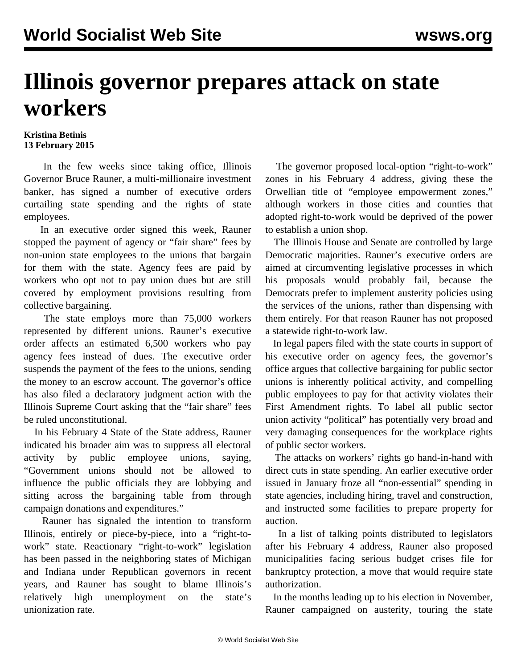## **Illinois governor prepares attack on state workers**

## **Kristina Betinis 13 February 2015**

 In the few weeks since taking office, Illinois Governor Bruce Rauner, a multi-millionaire investment banker, has signed a number of executive orders curtailing state spending and the rights of state employees.

 In an [executive order](https://drive.google.com/file/d/0B4Bi-iePG1O6OHJRbUxxcGRSTXM/view) signed this week, Rauner stopped the payment of agency or "fair share" fees by non-union state employees to the unions that bargain for them with the state. Agency fees are paid by workers who opt not to pay union dues but are still covered by employment provisions resulting from collective bargaining.

 The state employs more than 75,000 workers represented by different unions. Rauner's executive order affects an estimated 6,500 workers who pay agency fees instead of dues. The executive order suspends the payment of the fees to the unions, sending the money to an escrow account. The governor's office has also filed a declaratory judgment action with the Illinois Supreme Court asking that the "fair share" fees be ruled unconstitutional.

 In his February 4 State of the State address, Rauner indicated his broader aim was to suppress all electoral activity by public employee unions, saying, "Government unions should not be allowed to influence the public officials they are lobbying and sitting across the bargaining table from through campaign donations and expenditures."

 Rauner has signaled the intention to transform Illinois, entirely or piece-by-piece, into a "right-towork" state. Reactionary "right-to-work" legislation has been passed in the neighboring states of Michigan and Indiana under Republican governors in recent years, and Rauner has sought to blame Illinois's relatively high unemployment on the state's unionization rate.

 The governor proposed local-option "right-to-work" zones in his February 4 address, giving these the Orwellian title of "employee empowerment zones," although workers in those cities and counties that adopted right-to-work would be deprived of the power to establish a union shop.

 The Illinois House and Senate are controlled by large Democratic majorities. Rauner's executive orders are aimed at circumventing legislative processes in which his proposals would probably fail, because the Democrats prefer to implement austerity policies using the services of the unions, rather than dispensing with them entirely. For that reason Rauner has not proposed a statewide right-to-work law.

 In legal papers filed with the state courts in support of his executive order on agency fees, the governor's office argues that collective bargaining for public sector unions is inherently political activity, and compelling public employees to pay for that activity violates their First Amendment rights. To label all public sector union activity "political" has potentially very broad and very damaging consequences for the workplace rights of public sector workers.

 The attacks on workers' rights go hand-in-hand with direct cuts in state spending. An earlier executive order issued in January froze all "non-essential" spending in state agencies, including hiring, travel and construction, and instructed some facilities to prepare property for auction.

 In a list of talking points distributed to legislators after his February 4 address, Rauner also proposed municipalities facing serious budget crises file for bankruptcy protection, a move that would require state authorization.

 In the months leading up to his [election in November,](/en/articles/2014/10/13/illi-o13.html) Rauner campaigned on austerity, touring the state